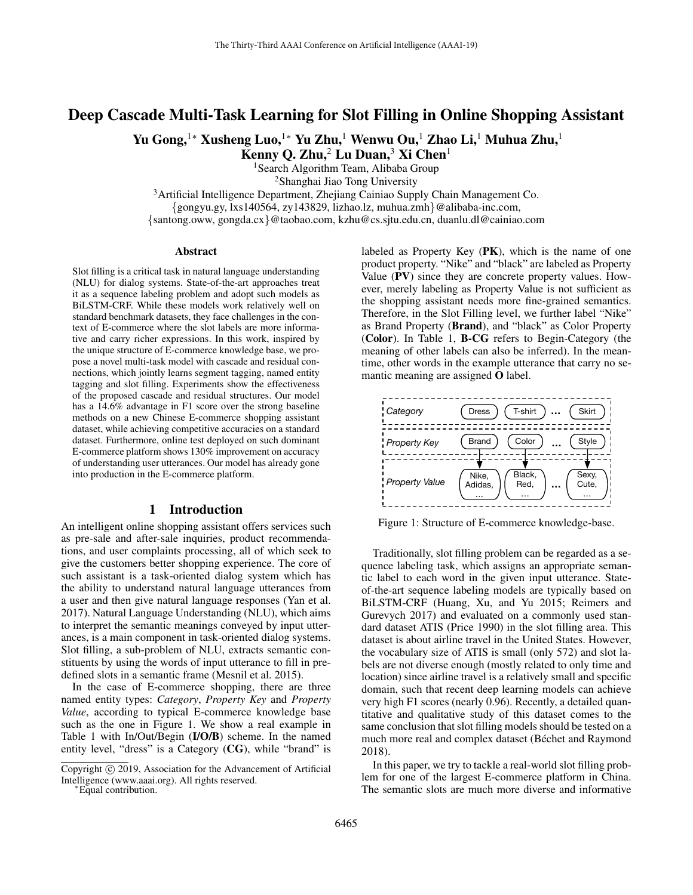# Deep Cascade Multi-Task Learning for Slot Filling in Online Shopping Assistant

Yu Gong,<sup>1</sup>\* Xusheng Luo,<sup>1</sup>\* Yu Zhu,<sup>1</sup> Wenwu Ou,<sup>1</sup> Zhao Li,<sup>1</sup> Muhua Zhu,<sup>1</sup> Kenny Q. Zhu, $^2$  Lu Duan, $^3$  Xi Chen<sup>1</sup>

<sup>1</sup>Search Algorithm Team, Alibaba Group

<sup>2</sup>Shanghai Jiao Tong University

<sup>3</sup> Artificial Intelligence Department, Zhejiang Cainiao Supply Chain Management Co.

{gongyu.gy, lxs140564, zy143829, lizhao.lz, muhua.zmh}@alibaba-inc.com,

{santong.oww, gongda.cx}@taobao.com, kzhu@cs.sjtu.edu.cn, duanlu.dl@cainiao.com

#### **Abstract**

Slot filling is a critical task in natural language understanding (NLU) for dialog systems. State-of-the-art approaches treat it as a sequence labeling problem and adopt such models as BiLSTM-CRF. While these models work relatively well on standard benchmark datasets, they face challenges in the context of E-commerce where the slot labels are more informative and carry richer expressions. In this work, inspired by the unique structure of E-commerce knowledge base, we propose a novel multi-task model with cascade and residual connections, which jointly learns segment tagging, named entity tagging and slot filling. Experiments show the effectiveness of the proposed cascade and residual structures. Our model has a 14.6% advantage in F1 score over the strong baseline methods on a new Chinese E-commerce shopping assistant dataset, while achieving competitive accuracies on a standard dataset. Furthermore, online test deployed on such dominant E-commerce platform shows 130% improvement on accuracy of understanding user utterances. Our model has already gone into production in the E-commerce platform.

## 1 Introduction

An intelligent online shopping assistant offers services such as pre-sale and after-sale inquiries, product recommendations, and user complaints processing, all of which seek to give the customers better shopping experience. The core of such assistant is a task-oriented dialog system which has the ability to understand natural language utterances from a user and then give natural language responses (Yan et al. 2017). Natural Language Understanding (NLU), which aims to interpret the semantic meanings conveyed by input utterances, is a main component in task-oriented dialog systems. Slot filling, a sub-problem of NLU, extracts semantic constituents by using the words of input utterance to fill in predefined slots in a semantic frame (Mesnil et al. 2015).

In the case of E-commerce shopping, there are three named entity types: *Category*, *Property Key* and *Property Value*, according to typical E-commerce knowledge base such as the one in Figure 1. We show a real example in Table 1 with In/Out/Begin (I/O/B) scheme. In the named entity level, "dress" is a Category (CG), while "brand" is

labeled as Property Key (PK), which is the name of one product property. "Nike" and "black" are labeled as Property Value (PV) since they are concrete property values. However, merely labeling as Property Value is not sufficient as the shopping assistant needs more fine-grained semantics. Therefore, in the Slot Filling level, we further label "Nike" as Brand Property (Brand), and "black" as Color Property (Color). In Table 1, B-CG refers to Begin-Category (the meaning of other labels can also be inferred). In the meantime, other words in the example utterance that carry no semantic meaning are assigned O label.



Figure 1: Structure of E-commerce knowledge-base.

Traditionally, slot filling problem can be regarded as a sequence labeling task, which assigns an appropriate semantic label to each word in the given input utterance. Stateof-the-art sequence labeling models are typically based on BiLSTM-CRF (Huang, Xu, and Yu 2015; Reimers and Gurevych 2017) and evaluated on a commonly used standard dataset ATIS (Price 1990) in the slot filling area. This dataset is about airline travel in the United States. However, the vocabulary size of ATIS is small (only 572) and slot labels are not diverse enough (mostly related to only time and location) since airline travel is a relatively small and specific domain, such that recent deep learning models can achieve very high F1 scores (nearly 0.96). Recently, a detailed quantitative and qualitative study of this dataset comes to the same conclusion that slot filling models should be tested on a much more real and complex dataset (Béchet and Raymond 2018).

In this paper, we try to tackle a real-world slot filling problem for one of the largest E-commerce platform in China. The semantic slots are much more diverse and informative

Copyright © 2019, Association for the Advancement of Artificial Intelligence (www.aaai.org). All rights reserved.

<sup>∗</sup>Equal contribution.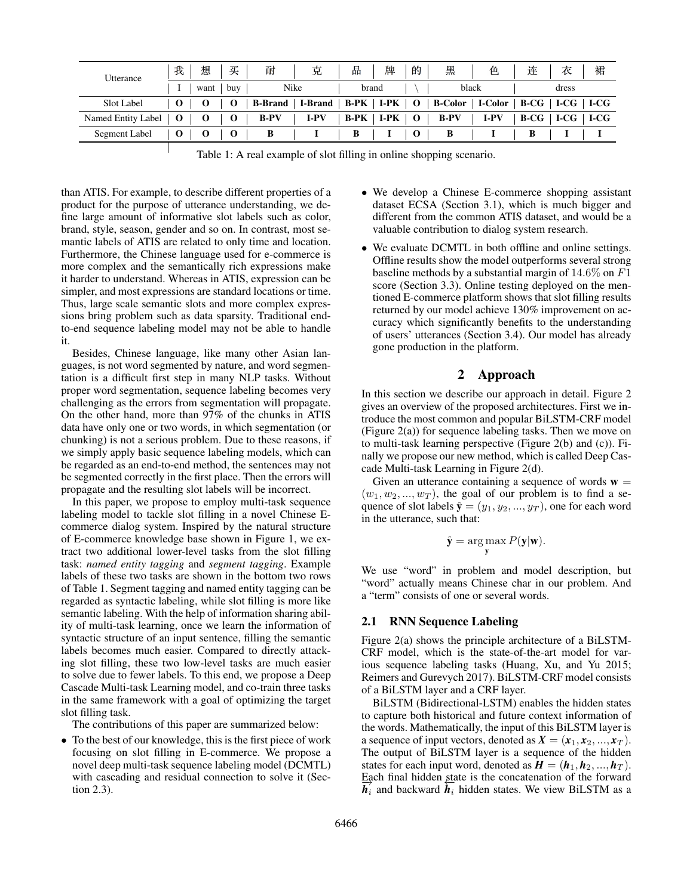| Utterance          | 我                  | 想            |  | 买            |  | 耐           | 克     | 品 |  | 牌                 | 的  |  | 黑           |       | 色    | 连 |  | 衣                                                                            | 裙 |
|--------------------|--------------------|--------------|--|--------------|--|-------------|-------|---|--|-------------------|----|--|-------------|-------|------|---|--|------------------------------------------------------------------------------|---|
|                    | Nike<br>want   buy |              |  |              |  |             | brand |   |  | black             |    |  |             | dress |      |   |  |                                                                              |   |
| Slot Label         | $\Omega$           |              |  | $\mathbf{o}$ |  |             |       |   |  |                   |    |  |             |       |      |   |  | B-Brand   I-Brand   B-PK   I-PK   O   B-Color   I-Color   B-CG   I-CG   I-CG |   |
| Named Entity Label | $\mathbf{o}$       | $\mathbf{o}$ |  | $\mathbf 0$  |  | <b>B-PV</b> | I-PV  |   |  | $B-PK$   I-PK   O |    |  | <b>B-PV</b> |       | I-PV |   |  | $B-CG$   I-CG   I-CG                                                         |   |
| Segment Label      | $\mathbf{o}$       | $\mathbf 0$  |  | $\mathbf 0$  |  | B           |       | в |  |                   | -0 |  | B           |       |      | B |  |                                                                              |   |
|                    |                    |              |  |              |  |             |       |   |  |                   |    |  |             |       |      |   |  |                                                                              |   |

Table 1: A real example of slot filling in online shopping scenario.

than ATIS. For example, to describe different properties of a product for the purpose of utterance understanding, we define large amount of informative slot labels such as color, brand, style, season, gender and so on. In contrast, most semantic labels of ATIS are related to only time and location. Furthermore, the Chinese language used for e-commerce is more complex and the semantically rich expressions make it harder to understand. Whereas in ATIS, expression can be simpler, and most expressions are standard locations or time. Thus, large scale semantic slots and more complex expressions bring problem such as data sparsity. Traditional endto-end sequence labeling model may not be able to handle it.

Besides, Chinese language, like many other Asian languages, is not word segmented by nature, and word segmentation is a difficult first step in many NLP tasks. Without proper word segmentation, sequence labeling becomes very challenging as the errors from segmentation will propagate. On the other hand, more than 97% of the chunks in ATIS data have only one or two words, in which segmentation (or chunking) is not a serious problem. Due to these reasons, if we simply apply basic sequence labeling models, which can be regarded as an end-to-end method, the sentences may not be segmented correctly in the first place. Then the errors will propagate and the resulting slot labels will be incorrect.

In this paper, we propose to employ multi-task sequence labeling model to tackle slot filling in a novel Chinese Ecommerce dialog system. Inspired by the natural structure of E-commerce knowledge base shown in Figure 1, we extract two additional lower-level tasks from the slot filling task: *named entity tagging* and *segment tagging*. Example labels of these two tasks are shown in the bottom two rows of Table 1. Segment tagging and named entity tagging can be regarded as syntactic labeling, while slot filling is more like semantic labeling. With the help of information sharing ability of multi-task learning, once we learn the information of syntactic structure of an input sentence, filling the semantic labels becomes much easier. Compared to directly attacking slot filling, these two low-level tasks are much easier to solve due to fewer labels. To this end, we propose a Deep Cascade Multi-task Learning model, and co-train three tasks in the same framework with a goal of optimizing the target slot filling task.

The contributions of this paper are summarized below:

• To the best of our knowledge, this is the first piece of work focusing on slot filling in E-commerce. We propose a novel deep multi-task sequence labeling model (DCMTL) with cascading and residual connection to solve it (Section 2.3).

- We develop a Chinese E-commerce shopping assistant dataset ECSA (Section 3.1), which is much bigger and different from the common ATIS dataset, and would be a valuable contribution to dialog system research.
- We evaluate DCMTL in both offline and online settings. Offline results show the model outperforms several strong baseline methods by a substantial margin of  $14.6\%$  on  $F1$ score (Section 3.3). Online testing deployed on the mentioned E-commerce platform shows that slot filling results returned by our model achieve 130% improvement on accuracy which significantly benefits to the understanding of users' utterances (Section 3.4). Our model has already gone production in the platform.

### 2 Approach

In this section we describe our approach in detail. Figure 2 gives an overview of the proposed architectures. First we introduce the most common and popular BiLSTM-CRF model (Figure 2(a)) for sequence labeling tasks. Then we move on to multi-task learning perspective (Figure 2(b) and (c)). Finally we propose our new method, which is called Deep Cascade Multi-task Learning in Figure 2(d).

Given an utterance containing a sequence of words  $w =$  $(w_1, w_2, ..., w_T)$ , the goal of our problem is to find a sequence of slot labels  $\hat{\mathbf{y}} = (y_1, y_2, ..., y_T)$ , one for each word in the utterance, such that:

$$
\hat{\mathbf{y}} = \arg \max_{\mathbf{y}} P(\mathbf{y}|\mathbf{w}).
$$

We use "word" in problem and model description, but "word" actually means Chinese char in our problem. And a "term" consists of one or several words.

#### 2.1 RNN Sequence Labeling

Figure 2(a) shows the principle architecture of a BiLSTM-CRF model, which is the state-of-the-art model for various sequence labeling tasks (Huang, Xu, and Yu 2015; Reimers and Gurevych 2017). BiLSTM-CRF model consists of a BiLSTM layer and a CRF layer.

BiLSTM (Bidirectional-LSTM) enables the hidden states to capture both historical and future context information of the words. Mathematically, the input of this BiLSTM layer is a sequence of input vectors, denoted as  $X = (x_1, x_2, ..., x_T)$ . The output of BiLSTM layer is a sequence of the hidden states for each input word, denoted as  $H = (h_1, h_2, ..., h_T)$ . Each final hidden state is the concatenation of the forward  $h_i$  and backward  $h_i$  hidden states. We view BiLSTM as a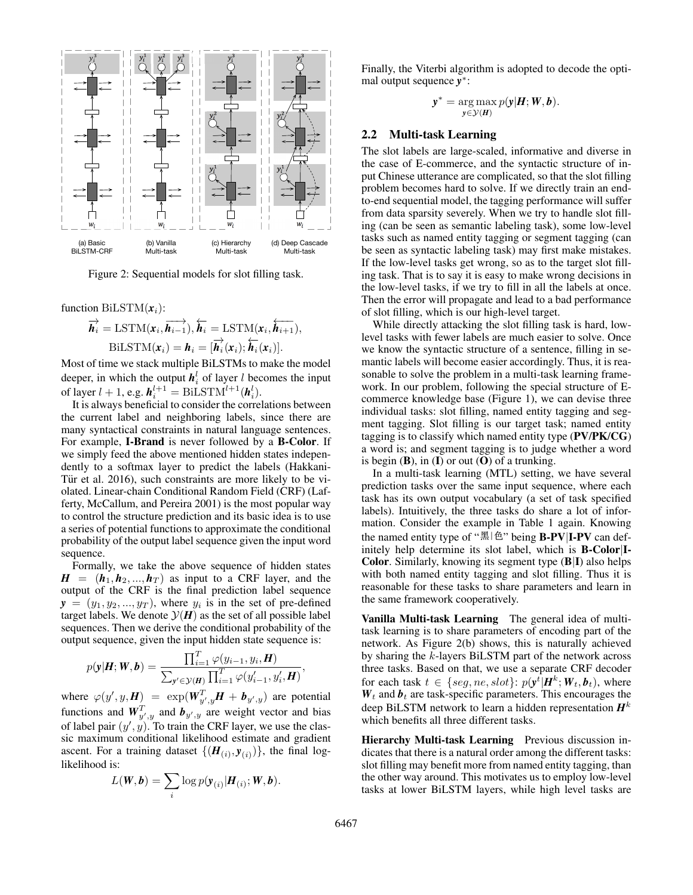

Figure 2: Sequential models for slot filling task.

function  $\text{BiLSTM}(x_i)$ :

$$
\overrightarrow{\boldsymbol{h}_{i}} = \text{LSTM}(\boldsymbol{x}_{i}, \overrightarrow{\boldsymbol{h}_{i-1}}), \overleftarrow{\boldsymbol{h}_{i}} = \text{LSTM}(\boldsymbol{x}_{i}, \overleftarrow{\boldsymbol{h}_{i+1}}),
$$
  
BilSTM( $\boldsymbol{x}_{i}$ ) =  $\boldsymbol{h}_{i} = [\overrightarrow{\boldsymbol{h}_{i}}(\boldsymbol{x}_{i}); \overleftarrow{\boldsymbol{h}_{i}}(\boldsymbol{x}_{i})].$ 

Most of time we stack multiple BiLSTMs to make the model deeper, in which the output  $h_i^l$  of layer *l* becomes the input of layer  $l + 1$ , e.g.  $\mathbf{h}_i^{l+1} = \text{BiLSTM}^{l+1}(\mathbf{h}_i^l)$ .

It is always beneficial to consider the correlations between the current label and neighboring labels, since there are many syntactical constraints in natural language sentences. For example, I-Brand is never followed by a B-Color. If we simply feed the above mentioned hidden states independently to a softmax layer to predict the labels (Hakkani-Tür et al. 2016), such constraints are more likely to be violated. Linear-chain Conditional Random Field (CRF) (Lafferty, McCallum, and Pereira 2001) is the most popular way to control the structure prediction and its basic idea is to use a series of potential functions to approximate the conditional probability of the output label sequence given the input word sequence.

Formally, we take the above sequence of hidden states  $H = (h_1, h_2, ..., h_T)$  as input to a CRF layer, and the output of the CRF is the final prediction label sequence  $y = (y_1, y_2, ..., y_T)$ , where  $y_i$  is in the set of pre-defined target labels. We denote  $\mathcal{Y}(H)$  as the set of all possible label sequences. Then we derive the conditional probability of the output sequence, given the input hidden state sequence is:

$$
p(\mathbf{y}|\boldsymbol{H};\boldsymbol{W},\boldsymbol{b})=\frac{\prod_{i=1}^{T}\varphi(y_{i-1},y_i,\boldsymbol{H})}{\sum_{\mathbf{y}'\in\mathcal{Y}(\boldsymbol{H})}\prod_{i=1}^{T}\varphi(y'_{i-1},y'_i,\boldsymbol{H})},
$$

where  $\varphi(y', y, H) = \exp(W_{y',y}^T H + b_{y',y})$  are potential functions and  $W_{y',y}^T$  and  $b_{y',y}$  are weight vector and bias of label pair  $(y', y)$ . To train the CRF layer, we use the classic maximum conditional likelihood estimate and gradient ascent. For a training dataset  $\{(\boldsymbol{H}_{(i)}, \boldsymbol{y}_{(i)})\}$ , the final loglikelihood is:

$$
L(\mathbf{W}, \mathbf{b}) = \sum_{i} \log p(\mathbf{y}_{(i)} | \mathbf{H}_{(i)}; \mathbf{W}, \mathbf{b}).
$$

Finally, the Viterbi algorithm is adopted to decode the optimal output sequence *y* ∗ :

$$
\mathbf{y}^* = \arg \max_{\mathbf{y} \in \mathcal{Y}(\boldsymbol{H})} p(\mathbf{y}|\boldsymbol{H}; \boldsymbol{W}, \boldsymbol{b}).
$$

#### 2.2 Multi-task Learning

The slot labels are large-scaled, informative and diverse in the case of E-commerce, and the syntactic structure of input Chinese utterance are complicated, so that the slot filling problem becomes hard to solve. If we directly train an endto-end sequential model, the tagging performance will suffer from data sparsity severely. When we try to handle slot filling (can be seen as semantic labeling task), some low-level tasks such as named entity tagging or segment tagging (can be seen as syntactic labeling task) may first make mistakes. If the low-level tasks get wrong, so as to the target slot filling task. That is to say it is easy to make wrong decisions in the low-level tasks, if we try to fill in all the labels at once. Then the error will propagate and lead to a bad performance of slot filling, which is our high-level target.

While directly attacking the slot filling task is hard, lowlevel tasks with fewer labels are much easier to solve. Once we know the syntactic structure of a sentence, filling in semantic labels will become easier accordingly. Thus, it is reasonable to solve the problem in a multi-task learning framework. In our problem, following the special structure of Ecommerce knowledge base (Figure 1), we can devise three individual tasks: slot filling, named entity tagging and segment tagging. Slot filling is our target task; named entity tagging is to classify which named entity type (PV/PK/CG) a word is; and segment tagging is to judge whether a word is begin  $(B)$ , in  $(I)$  or out  $(O)$  of a trunking.

In a multi-task learning (MTL) setting, we have several prediction tasks over the same input sequence, where each task has its own output vocabulary (a set of task specified labels). Intuitively, the three tasks do share a lot of information. Consider the example in Table 1 again. Knowing the named entity type of " $\mathbb{R}^{\mathbb{R}}$  " being **B-PV**|**I-PV** can definitely help determine its slot label, which is B-Color|I-Color. Similarly, knowing its segment type (B|I) also helps with both named entity tagging and slot filling. Thus it is reasonable for these tasks to share parameters and learn in the same framework cooperatively.

Vanilla Multi-task Learning The general idea of multitask learning is to share parameters of encoding part of the network. As Figure 2(b) shows, this is naturally achieved by sharing the k-layers BiLSTM part of the network across three tasks. Based on that, we use a separate CRF decoder for each task  $t \in \{seg, ne, slot\}$ :  $p(\mathbf{y}^t | \mathbf{H}^k; \mathbf{W}_t, \mathbf{b}_t)$ , where  $W_t$  and  $b_t$  are task-specific parameters. This encourages the deep BiLSTM network to learn a hidden representation *H* k which benefits all three different tasks.

Hierarchy Multi-task Learning Previous discussion indicates that there is a natural order among the different tasks: slot filling may benefit more from named entity tagging, than the other way around. This motivates us to employ low-level tasks at lower BiLSTM layers, while high level tasks are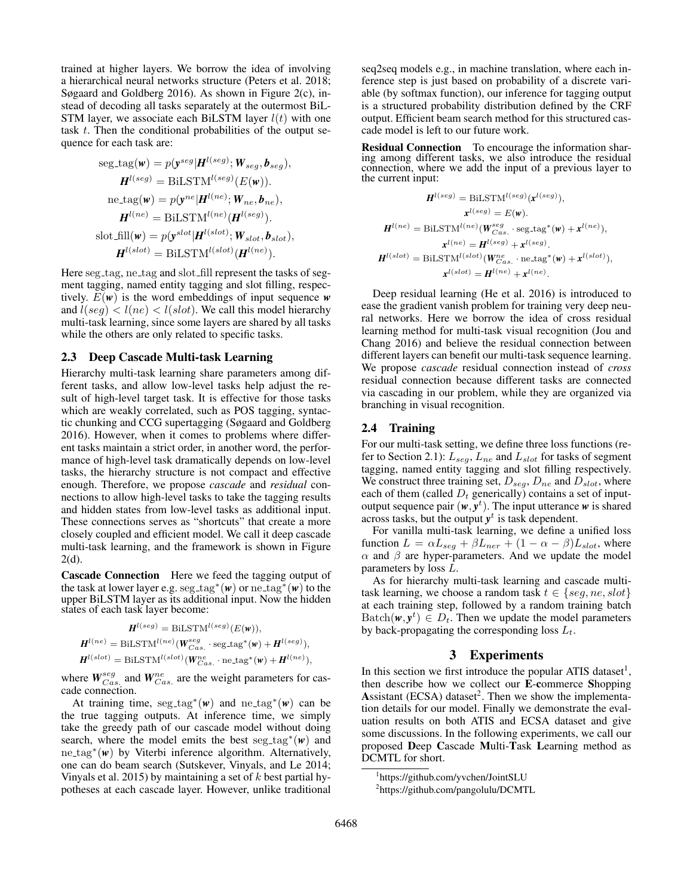trained at higher layers. We borrow the idea of involving a hierarchical neural networks structure (Peters et al. 2018; Søgaard and Goldberg 2016). As shown in Figure 2(c), instead of decoding all tasks separately at the outermost BiL-STM layer, we associate each BiLSTM layer  $l(t)$  with one task t. Then the conditional probabilities of the output sequence for each task are:

$$
\text{seg\_tag}(\mathbf{w}) = p(\mathbf{y}^{seg} | \mathbf{H}^{l(seg)}; \mathbf{W}_{seg}, \mathbf{b}_{seg}),
$$

$$
\mathbf{H}^{l(seg)} = \text{BiLSTM}^{l(seg)}(E(\mathbf{w})).
$$

$$
\text{ne\_tag}(\mathbf{w}) = p(\mathbf{y}^{ne} | \mathbf{H}^{l(ne)}; \mathbf{W}_{ne}, \mathbf{b}_{ne}),
$$

$$
\mathbf{H}^{l(ne)} = \text{BiLSTM}^{l(ne)}(\mathbf{H}^{l(seg)}).
$$

$$
\text{slot\_fill}(\mathbf{w}) = p(\mathbf{y}^{slot} | \mathbf{H}^{l(slot)}; \mathbf{W}_{slot}, \mathbf{b}_{slot}),
$$

$$
\mathbf{H}^{l(slot)} = \text{BiLSTM}^{l(slot)}(\mathbf{H}^{l(ne)}).
$$

Here seg<sub>tag</sub>, ne<sub>tag</sub> and slot fill represent the tasks of segment tagging, named entity tagging and slot filling, respectively.  $E(w)$  is the word embeddings of input sequence w and  $l(seq) < l(ne) < l(slot)$ . We call this model hierarchy multi-task learning, since some layers are shared by all tasks while the others are only related to specific tasks.

#### 2.3 Deep Cascade Multi-task Learning

Hierarchy multi-task learning share parameters among different tasks, and allow low-level tasks help adjust the result of high-level target task. It is effective for those tasks which are weakly correlated, such as POS tagging, syntactic chunking and CCG supertagging (Søgaard and Goldberg 2016). However, when it comes to problems where different tasks maintain a strict order, in another word, the performance of high-level task dramatically depends on low-level tasks, the hierarchy structure is not compact and effective enough. Therefore, we propose *cascade* and *residual* connections to allow high-level tasks to take the tagging results and hidden states from low-level tasks as additional input. These connections serves as "shortcuts" that create a more closely coupled and efficient model. We call it deep cascade multi-task learning, and the framework is shown in Figure 2(d).

Cascade Connection Here we feed the tagging output of the task at lower layer e.g.  $\text{seg\_tag}^*(w)$  or  $\text{neg\_tag}^*(w)$  to the upper BiLSTM layer as its additional input. Now the hidden states of each task layer become:

$$
\begin{aligned} \mathbf{H}^{l(seg)} &= \text{BiLSTM}^{l(seg)}(E(\mathbf{w})),\\ \mathbf{H}^{l(ne)} &= \text{BiLSTM}^{l(ne)}(\mathbf{W}_{Cas.}^{seg} \cdot \text{seg\_tag}^*(\mathbf{w}) + \mathbf{H}^{l(seg)}),\\ \mathbf{H}^{l(slot)} &= \text{BiLSTM}^{l(slot)}(\mathbf{W}_{Cas.}^{ne} \cdot \text{ne\_tag}^*(\mathbf{w}) + \mathbf{H}^{l(ne)}), \end{aligned}
$$

where  $W_{Cas.}^{seg}$  and  $W_{Cas.}^{ne}$  are the weight parameters for cascade connection.

At training time,  $\text{seg\_tag}^*(w)$  and  $\text{neg\_tag}^*(w)$  can be the true tagging outputs. At inference time, we simply take the greedy path of our cascade model without doing search, where the model emits the best seg<sub>-tag</sub><sup>\*</sup>( $w$ ) and ne tag<sup>∗</sup> (*w*) by Viterbi inference algorithm. Alternatively, one can do beam search (Sutskever, Vinyals, and Le 2014; Vinyals et al. 2015) by maintaining a set of  $k$  best partial hypotheses at each cascade layer. However, unlike traditional

seq2seq models e.g., in machine translation, where each inference step is just based on probability of a discrete variable (by softmax function), our inference for tagging output is a structured probability distribution defined by the CRF output. Efficient beam search method for this structured cascade model is left to our future work.

Residual Connection To encourage the information sharing among different tasks, we also introduce the residual connection, where we add the input of a previous layer to the current input:

$$
H^{l(seg)} = \text{BiLSTM}^{l(seg)}(\mathbf{x}^{l(seg)}),
$$

$$
\mathbf{x}^{l(seg)} = E(\mathbf{w}).
$$

$$
H^{l(ne)} = \text{BiLSTM}^{l(ne)}(W_{Cas.}^{seg.} \cdot \text{seg\_tag*}(\mathbf{w}) + \mathbf{x}^{l(ne)}),
$$

$$
\mathbf{x}^{l(ne)} = H^{l(seg)} + \mathbf{x}^{l(seg)}.
$$

$$
H^{l(slot)} = \text{BiLSTM}^{l(slot)}(W_{Cas.}^{ne} \cdot \text{ne\_tag}^{*(\mathbf{w})} + \mathbf{x}^{l(slot)}),
$$

$$
\mathbf{x}^{l(slot)} = H^{l(ne)} + \mathbf{x}^{l(ne)}.
$$

Deep residual learning (He et al. 2016) is introduced to ease the gradient vanish problem for training very deep neural networks. Here we borrow the idea of cross residual learning method for multi-task visual recognition (Jou and Chang 2016) and believe the residual connection between different layers can benefit our multi-task sequence learning. We propose *cascade* residual connection instead of *cross* residual connection because different tasks are connected via cascading in our problem, while they are organized via branching in visual recognition.

### 2.4 Training

For our multi-task setting, we define three loss functions (refer to Section 2.1):  $L_{seg}$ ,  $L_{ne}$  and  $L_{slot}$  for tasks of segment tagging, named entity tagging and slot filling respectively. We construct three training set,  $D_{seq}$ ,  $D_{ne}$  and  $D_{slot}$ , where each of them (called  $D_t$  generically) contains a set of inputoutput sequence pair  $(w, y<sup>t</sup>)$ . The input utterance w is shared across tasks, but the output  $y<sup>t</sup>$  is task dependent.

For vanilla multi-task learning, we define a unified loss function  $L = \alpha L_{seg} + \beta L_{ner} + (1 - \alpha - \beta) L_{slot}$ , where  $\alpha$  and  $\beta$  are hyper-parameters. And we update the model parameters by loss L.

As for hierarchy multi-task learning and cascade multitask learning, we choose a random task  $t \in \{seq, ne, slot\}$ at each training step, followed by a random training batch  $\text{Batch}(w, y^t) \in D_t$ . Then we update the model parameters by back-propagating the corresponding loss  $L_t$ .

# 3 Experiments

In this section we first introduce the popular ATIS dataset<sup>1</sup>, then describe how we collect our E-commerce Shopping Assistant (ECSA) dataset<sup>2</sup>. Then we show the implementation details for our model. Finally we demonstrate the evaluation results on both ATIS and ECSA dataset and give some discussions. In the following experiments, we call our proposed Deep Cascade Multi-Task Learning method as DCMTL for short.

<sup>1</sup> https://github.com/yvchen/JointSLU

<sup>&</sup>lt;sup>2</sup>https://github.com/pangolulu/DCMTL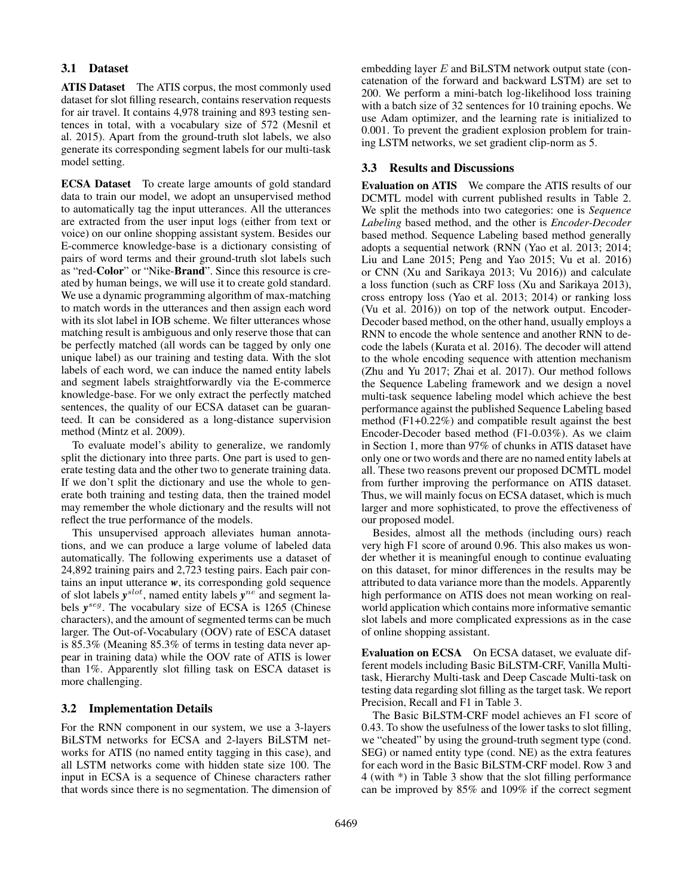## 3.1 Dataset

ATIS Dataset The ATIS corpus, the most commonly used dataset for slot filling research, contains reservation requests for air travel. It contains 4,978 training and 893 testing sentences in total, with a vocabulary size of 572 (Mesnil et al. 2015). Apart from the ground-truth slot labels, we also generate its corresponding segment labels for our multi-task model setting.

ECSA Dataset To create large amounts of gold standard data to train our model, we adopt an unsupervised method to automatically tag the input utterances. All the utterances are extracted from the user input logs (either from text or voice) on our online shopping assistant system. Besides our E-commerce knowledge-base is a dictionary consisting of pairs of word terms and their ground-truth slot labels such as "red-Color" or "Nike-Brand". Since this resource is created by human beings, we will use it to create gold standard. We use a dynamic programming algorithm of max-matching to match words in the utterances and then assign each word with its slot label in IOB scheme. We filter utterances whose matching result is ambiguous and only reserve those that can be perfectly matched (all words can be tagged by only one unique label) as our training and testing data. With the slot labels of each word, we can induce the named entity labels and segment labels straightforwardly via the E-commerce knowledge-base. For we only extract the perfectly matched sentences, the quality of our ECSA dataset can be guaranteed. It can be considered as a long-distance supervision method (Mintz et al. 2009).

To evaluate model's ability to generalize, we randomly split the dictionary into three parts. One part is used to generate testing data and the other two to generate training data. If we don't split the dictionary and use the whole to generate both training and testing data, then the trained model may remember the whole dictionary and the results will not reflect the true performance of the models.

This unsupervised approach alleviates human annotations, and we can produce a large volume of labeled data automatically. The following experiments use a dataset of 24,892 training pairs and 2,723 testing pairs. Each pair contains an input utterance *w*, its corresponding gold sequence of slot labels  $y^{slot}$ , named entity labels  $y^{ne}$  and segment labels  $y^{seg}$ . The vocabulary size of ECSA is 1265 (Chinese characters), and the amount of segmented terms can be much larger. The Out-of-Vocabulary (OOV) rate of ESCA dataset is 85.3% (Meaning 85.3% of terms in testing data never appear in training data) while the OOV rate of ATIS is lower than 1%. Apparently slot filling task on ESCA dataset is more challenging.

### 3.2 Implementation Details

For the RNN component in our system, we use a 3-layers BiLSTM networks for ECSA and 2-layers BiLSTM networks for ATIS (no named entity tagging in this case), and all LSTM networks come with hidden state size 100. The input in ECSA is a sequence of Chinese characters rather that words since there is no segmentation. The dimension of

embedding layer  $E$  and BiLSTM network output state (concatenation of the forward and backward LSTM) are set to 200. We perform a mini-batch log-likelihood loss training with a batch size of 32 sentences for 10 training epochs. We use Adam optimizer, and the learning rate is initialized to 0.001. To prevent the gradient explosion problem for training LSTM networks, we set gradient clip-norm as 5.

#### 3.3 Results and Discussions

Evaluation on ATIS We compare the ATIS results of our DCMTL model with current published results in Table 2. We split the methods into two categories: one is *Sequence Labeling* based method, and the other is *Encoder-Decoder* based method. Sequence Labeling based method generally adopts a sequential network (RNN (Yao et al. 2013; 2014; Liu and Lane 2015; Peng and Yao 2015; Vu et al. 2016) or CNN (Xu and Sarikaya 2013; Vu 2016)) and calculate a loss function (such as CRF loss (Xu and Sarikaya 2013), cross entropy loss (Yao et al. 2013; 2014) or ranking loss (Vu et al. 2016)) on top of the network output. Encoder-Decoder based method, on the other hand, usually employs a RNN to encode the whole sentence and another RNN to decode the labels (Kurata et al. 2016). The decoder will attend to the whole encoding sequence with attention mechanism (Zhu and Yu 2017; Zhai et al. 2017). Our method follows the Sequence Labeling framework and we design a novel multi-task sequence labeling model which achieve the best performance against the published Sequence Labeling based method (F1+0.22%) and compatible result against the best Encoder-Decoder based method (F1-0.03%). As we claim in Section 1, more than 97% of chunks in ATIS dataset have only one or two words and there are no named entity labels at all. These two reasons prevent our proposed DCMTL model from further improving the performance on ATIS dataset. Thus, we will mainly focus on ECSA dataset, which is much larger and more sophisticated, to prove the effectiveness of our proposed model.

Besides, almost all the methods (including ours) reach very high F1 score of around 0.96. This also makes us wonder whether it is meaningful enough to continue evaluating on this dataset, for minor differences in the results may be attributed to data variance more than the models. Apparently high performance on ATIS does not mean working on realworld application which contains more informative semantic slot labels and more complicated expressions as in the case of online shopping assistant.

Evaluation on ECSA On ECSA dataset, we evaluate different models including Basic BiLSTM-CRF, Vanilla Multitask, Hierarchy Multi-task and Deep Cascade Multi-task on testing data regarding slot filling as the target task. We report Precision, Recall and F1 in Table 3.

The Basic BiLSTM-CRF model achieves an F1 score of 0.43. To show the usefulness of the lower tasks to slot filling, we "cheated" by using the ground-truth segment type (cond. SEG) or named entity type (cond. NE) as the extra features for each word in the Basic BiLSTM-CRF model. Row 3 and 4 (with \*) in Table 3 show that the slot filling performance can be improved by 85% and 109% if the correct segment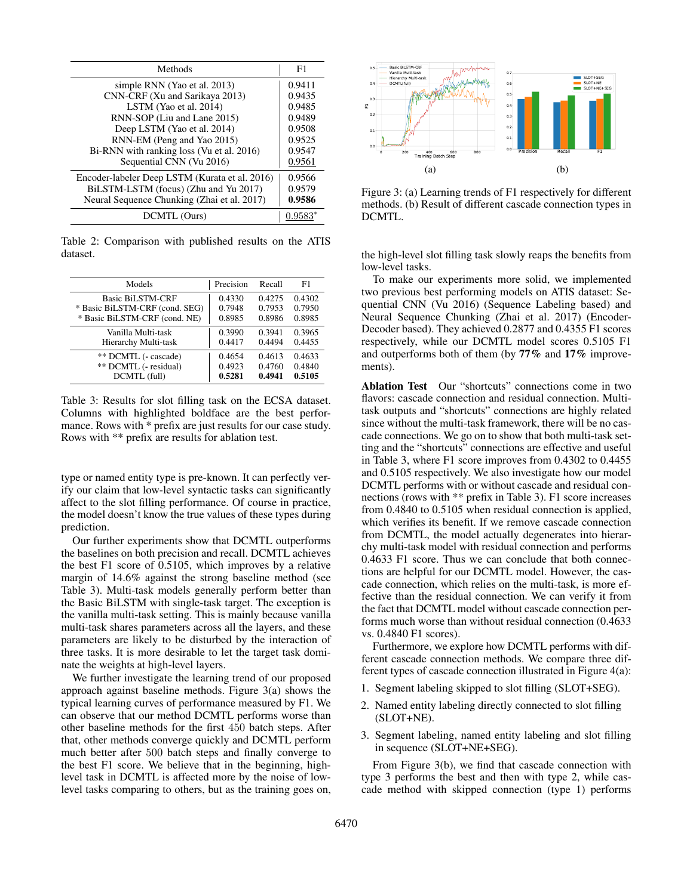| Methods                                        | F1     |
|------------------------------------------------|--------|
| simple RNN (Yao et al. 2013)                   | 0.9411 |
| CNN-CRF (Xu and Sarikaya 2013)                 | 0.9435 |
| LSTM (Yao et al. 2014)                         | 0.9485 |
| RNN-SOP (Liu and Lane 2015)                    | 0.9489 |
| Deep LSTM (Yao et al. 2014)                    | 0.9508 |
| RNN-EM (Peng and Yao 2015)                     | 0.9525 |
| Bi-RNN with ranking loss (Vu et al. 2016)      | 0.9547 |
| Sequential CNN (Vu 2016)                       | 0.9561 |
| Encoder-labeler Deep LSTM (Kurata et al. 2016) | 0.9566 |
| BiLSTM-LSTM (focus) (Zhu and Yu 2017)          | 0.9579 |
| Neural Sequence Chunking (Zhai et al. 2017)    | 0.9586 |
| DCMTL (Ours)                                   |        |

Table 2: Comparison with published results on the ATIS dataset.

| Models                         | Precision | Recall | F1     |
|--------------------------------|-----------|--------|--------|
| <b>Basic BiLSTM-CRF</b>        | 0.4330    | 0.4275 | 0.4302 |
| * Basic BiLSTM-CRF (cond. SEG) | 0.7948    | 0.7953 | 0.7950 |
| * Basic BiLSTM-CRF (cond. NE)  | 0.8985    | 0.8986 | 0.8985 |
| Vanilla Multi-task             | 0.3990    | 0.3941 | 0.3965 |
| Hierarchy Multi-task           | 0.4417    | 0.4494 | 0.4455 |
| ** DCMTL (- cascade)           | 0.4654    | 0.4613 | 0.4633 |
| ** DCMTL (- residual)          | 0.4923    | 0.4760 | 0.4840 |
| DCMTL (full)                   | 0.5281    | 0.4941 | 0.5105 |

Table 3: Results for slot filling task on the ECSA dataset. Columns with highlighted boldface are the best performance. Rows with  $*$  prefix are just results for our case study. Rows with \*\* prefix are results for ablation test.

type or named entity type is pre-known. It can perfectly verify our claim that low-level syntactic tasks can significantly affect to the slot filling performance. Of course in practice, the model doesn't know the true values of these types during prediction.

Our further experiments show that DCMTL outperforms the baselines on both precision and recall. DCMTL achieves the best F1 score of 0.5105, which improves by a relative margin of 14.6% against the strong baseline method (see Table 3). Multi-task models generally perform better than the Basic BiLSTM with single-task target. The exception is the vanilla multi-task setting. This is mainly because vanilla multi-task shares parameters across all the layers, and these parameters are likely to be disturbed by the interaction of three tasks. It is more desirable to let the target task dominate the weights at high-level layers.

We further investigate the learning trend of our proposed approach against baseline methods. Figure 3(a) shows the typical learning curves of performance measured by F1. We can observe that our method DCMTL performs worse than other baseline methods for the first 450 batch steps. After that, other methods converge quickly and DCMTL perform much better after 500 batch steps and finally converge to the best F1 score. We believe that in the beginning, highlevel task in DCMTL is affected more by the noise of lowlevel tasks comparing to others, but as the training goes on,



Figure 3: (a) Learning trends of F1 respectively for different methods. (b) Result of different cascade connection types in DCMTL.

the high-level slot filling task slowly reaps the benefits from low-level tasks.

To make our experiments more solid, we implemented two previous best performing models on ATIS dataset: Sequential CNN (Vu 2016) (Sequence Labeling based) and Neural Sequence Chunking (Zhai et al. 2017) (Encoder-Decoder based). They achieved 0.2877 and 0.4355 F1 scores respectively, while our DCMTL model scores 0.5105 F1 and outperforms both of them (by 77% and 17% improvements).

Ablation Test Our "shortcuts" connections come in two flavors: cascade connection and residual connection. Multitask outputs and "shortcuts" connections are highly related since without the multi-task framework, there will be no cascade connections. We go on to show that both multi-task setting and the "shortcuts" connections are effective and useful in Table 3, where F1 score improves from 0.4302 to 0.4455 and 0.5105 respectively. We also investigate how our model DCMTL performs with or without cascade and residual connections (rows with \*\* prefix in Table 3). F1 score increases from 0.4840 to 0.5105 when residual connection is applied, which verifies its benefit. If we remove cascade connection from DCMTL, the model actually degenerates into hierarchy multi-task model with residual connection and performs 0.4633 F1 score. Thus we can conclude that both connections are helpful for our DCMTL model. However, the cascade connection, which relies on the multi-task, is more effective than the residual connection. We can verify it from the fact that DCMTL model without cascade connection performs much worse than without residual connection (0.4633 vs. 0.4840 F1 scores).

Furthermore, we explore how DCMTL performs with different cascade connection methods. We compare three different types of cascade connection illustrated in Figure 4(a):

- 1. Segment labeling skipped to slot filling (SLOT+SEG).
- 2. Named entity labeling directly connected to slot filling (SLOT+NE).
- 3. Segment labeling, named entity labeling and slot filling in sequence (SLOT+NE+SEG).

From Figure 3(b), we find that cascade connection with type 3 performs the best and then with type 2, while cascade method with skipped connection (type 1) performs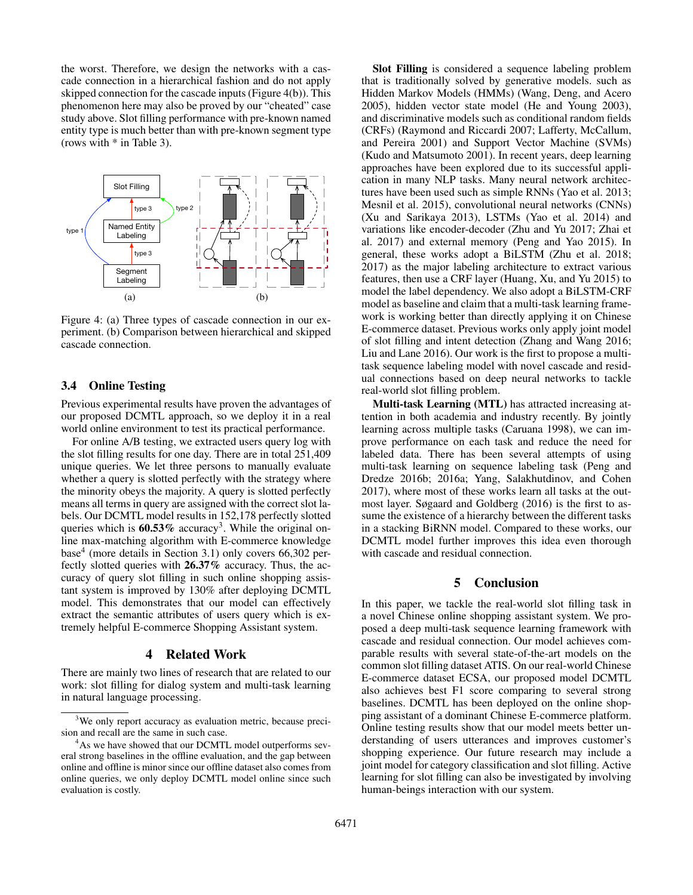the worst. Therefore, we design the networks with a cascade connection in a hierarchical fashion and do not apply skipped connection for the cascade inputs (Figure 4(b)). This phenomenon here may also be proved by our "cheated" case study above. Slot filling performance with pre-known named entity type is much better than with pre-known segment type (rows with \* in Table 3).



Figure 4: (a) Three types of cascade connection in our experiment. (b) Comparison between hierarchical and skipped cascade connection.

## 3.4 Online Testing

Previous experimental results have proven the advantages of our proposed DCMTL approach, so we deploy it in a real world online environment to test its practical performance.

For online A/B testing, we extracted users query log with the slot filling results for one day. There are in total 251,409 unique queries. We let three persons to manually evaluate whether a query is slotted perfectly with the strategy where the minority obeys the majority. A query is slotted perfectly means all terms in query are assigned with the correct slot labels. Our DCMTL model results in 152,178 perfectly slotted queries which is  $60.53\%$  accuracy<sup>3</sup>. While the original online max-matching algorithm with E-commerce knowledge base<sup>4</sup> (more details in Section 3.1) only covers 66,302 perfectly slotted queries with 26.37% accuracy. Thus, the accuracy of query slot filling in such online shopping assistant system is improved by 130% after deploying DCMTL model. This demonstrates that our model can effectively extract the semantic attributes of users query which is extremely helpful E-commerce Shopping Assistant system.

# 4 Related Work

There are mainly two lines of research that are related to our work: slot filling for dialog system and multi-task learning in natural language processing.

Slot Filling is considered a sequence labeling problem that is traditionally solved by generative models. such as Hidden Markov Models (HMMs) (Wang, Deng, and Acero 2005), hidden vector state model (He and Young 2003), and discriminative models such as conditional random fields (CRFs) (Raymond and Riccardi 2007; Lafferty, McCallum, and Pereira 2001) and Support Vector Machine (SVMs) (Kudo and Matsumoto 2001). In recent years, deep learning approaches have been explored due to its successful application in many NLP tasks. Many neural network architectures have been used such as simple RNNs (Yao et al. 2013; Mesnil et al. 2015), convolutional neural networks (CNNs) (Xu and Sarikaya 2013), LSTMs (Yao et al. 2014) and variations like encoder-decoder (Zhu and Yu 2017; Zhai et al. 2017) and external memory (Peng and Yao 2015). In general, these works adopt a BiLSTM (Zhu et al. 2018; 2017) as the major labeling architecture to extract various features, then use a CRF layer (Huang, Xu, and Yu 2015) to model the label dependency. We also adopt a BiLSTM-CRF model as baseline and claim that a multi-task learning framework is working better than directly applying it on Chinese E-commerce dataset. Previous works only apply joint model of slot filling and intent detection (Zhang and Wang 2016; Liu and Lane 2016). Our work is the first to propose a multitask sequence labeling model with novel cascade and residual connections based on deep neural networks to tackle real-world slot filling problem.

Multi-task Learning (MTL) has attracted increasing attention in both academia and industry recently. By jointly learning across multiple tasks (Caruana 1998), we can improve performance on each task and reduce the need for labeled data. There has been several attempts of using multi-task learning on sequence labeling task (Peng and Dredze 2016b; 2016a; Yang, Salakhutdinov, and Cohen 2017), where most of these works learn all tasks at the outmost layer. Søgaard and Goldberg (2016) is the first to assume the existence of a hierarchy between the different tasks in a stacking BiRNN model. Compared to these works, our DCMTL model further improves this idea even thorough with cascade and residual connection.

### 5 Conclusion

In this paper, we tackle the real-world slot filling task in a novel Chinese online shopping assistant system. We proposed a deep multi-task sequence learning framework with cascade and residual connection. Our model achieves comparable results with several state-of-the-art models on the common slot filling dataset ATIS. On our real-world Chinese E-commerce dataset ECSA, our proposed model DCMTL also achieves best F1 score comparing to several strong baselines. DCMTL has been deployed on the online shopping assistant of a dominant Chinese E-commerce platform. Online testing results show that our model meets better understanding of users utterances and improves customer's shopping experience. Our future research may include a joint model for category classification and slot filling. Active learning for slot filling can also be investigated by involving human-beings interaction with our system.

<sup>&</sup>lt;sup>3</sup>We only report accuracy as evaluation metric, because precision and recall are the same in such case.

<sup>&</sup>lt;sup>4</sup>As we have showed that our DCMTL model outperforms several strong baselines in the offline evaluation, and the gap between online and offline is minor since our offline dataset also comes from online queries, we only deploy DCMTL model online since such evaluation is costly.